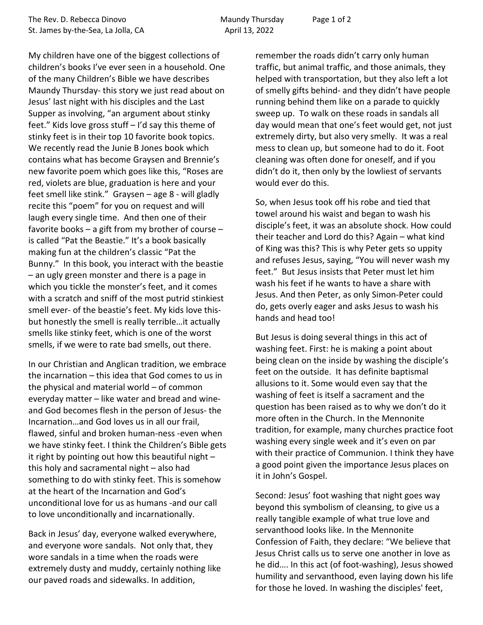My children have one of the biggest collections of children's books I've ever seen in a household. One of the many Children's Bible we have describes Maundy Thursday- this story we just read about on Jesus' last night with his disciples and the Last Supper as involving, "an argument about stinky feet." Kids love gross stuff – I'd say this theme of stinky feet is in their top 10 favorite book topics. We recently read the Junie B Jones book which contains what has become Graysen and Brennie's new favorite poem which goes like this, "Roses are red, violets are blue, graduation is here and your feet smell like stink." Graysen – age 8 - will gladly recite this "poem" for you on request and will laugh every single time. And then one of their favorite books – a gift from my brother of course – is called "Pat the Beastie." It's a book basically making fun at the children's classic "Pat the Bunny." In this book, you interact with the beastie – an ugly green monster and there is a page in which you tickle the monster's feet, and it comes with a scratch and sniff of the most putrid stinkiest smell ever- of the beastie's feet. My kids love thisbut honestly the smell is really terrible…it actually smells like stinky feet, which is one of the worst smells, if we were to rate bad smells, out there.

In our Christian and Anglican tradition, we embrace the incarnation – this idea that God comes to us in the physical and material world – of common everyday matter – like water and bread and wineand God becomes flesh in the person of Jesus- the Incarnation…and God loves us in all our frail, flawed, sinful and broken human-ness -even when we have stinky feet. I think the Children's Bible gets it right by pointing out how this beautiful night – this holy and sacramental night – also had something to do with stinky feet. This is somehow at the heart of the Incarnation and God's unconditional love for us as humans -and our call to love unconditionally and incarnationally.

Back in Jesus' day, everyone walked everywhere, and everyone wore sandals. Not only that, they wore sandals in a time when the roads were extremely dusty and muddy, certainly nothing like our paved roads and sidewalks. In addition,

remember the roads didn't carry only human traffic, but animal traffic, and those animals, they helped with transportation, but they also left a lot of smelly gifts behind- and they didn't have people running behind them like on a parade to quickly sweep up. To walk on these roads in sandals all day would mean that one's feet would get, not just extremely dirty, but also very smelly. It was a real mess to clean up, but someone had to do it. Foot cleaning was often done for oneself, and if you didn't do it, then only by the lowliest of servants would ever do this.

So, when Jesus took off his robe and tied that towel around his waist and began to wash his disciple's feet, it was an absolute shock. How could their teacher and Lord do this? Again – what kind of King was this? This is why Peter gets so uppity and refuses Jesus, saying, "You will never wash my feet." But Jesus insists that Peter must let him wash his feet if he wants to have a share with Jesus. And then Peter, as only Simon-Peter could do, gets overly eager and asks Jesus to wash his hands and head too!

But Jesus is doing several things in this act of washing feet. First: he is making a point about being clean on the inside by washing the disciple's feet on the outside. It has definite baptismal allusions to it. Some would even say that the washing of feet is itself a sacrament and the question has been raised as to why we don't do it more often in the Church. In the Mennonite tradition, for example, many churches practice foot washing every single week and it's even on par with their practice of Communion. I think they have a good point given the importance Jesus places on it in John's Gospel.

Second: Jesus' foot washing that night goes way beyond this symbolism of cleansing, to give us a really tangible example of what true love and servanthood looks like. In the Mennonite Confession of Faith, they declare: "We believe that Jesus Christ calls us to serve one another in love as he did…. In this act (of foot-washing), Jesus showed humility and servanthood, even laying down his life for those he loved. In washing the disciples' feet,